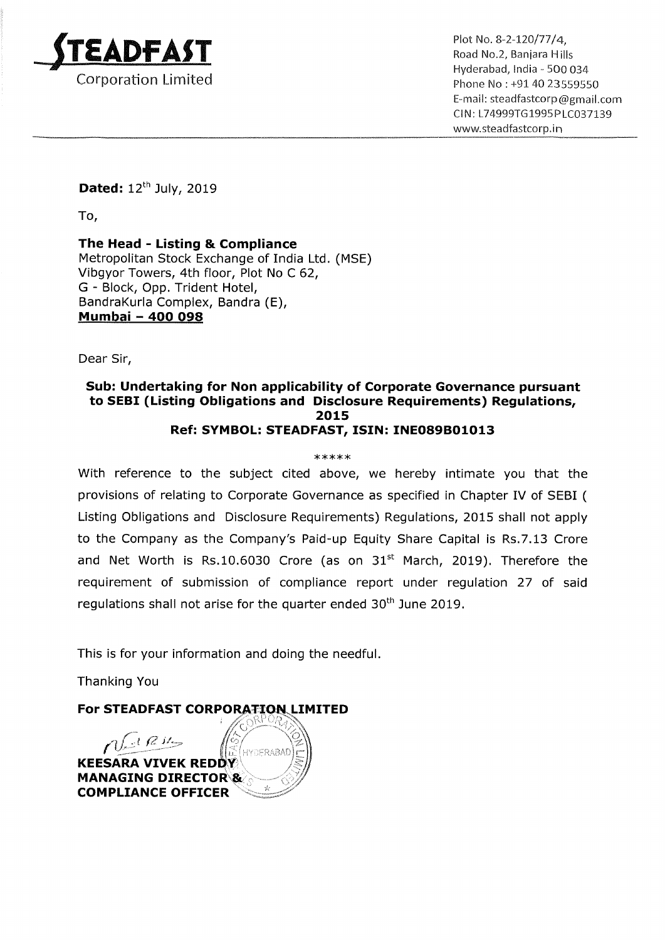

\_ \_ \_ Hyderabad, lndia - 500 034 Email: steadfastcorp@gmail.com Cl N: L74999TG 1995P LCO37139 www.5teadfastcorp.in

Dated:  $12^{th}$  July, 2019

To,

The Head - Listing & Compliance Metropolitan Stock Exchange of India Ltd. (MSE) Vibgyor Towers, 4th floor, Plot No <sup>C</sup> 62, G - Block, Opp. Trident Hotel, BandraKurla Complex, Bandra (E), DandraKuna Comple<br><mark>Mumbai - 400 098</mark>

Dear Sir,

## Sub: Undertaking for Non applicability of Corporate Governance pursuant to SEBI (Listing Obligations and Disclosure Requirements) Regulations, 2015 Ref: SYMBOL: STEADFAST, ISIN: INE089B01013

## \*\*\*\*\*

With reference to the subject cited above, we hereby intimate you that the provisions of relating to Corporate Governance as specified in Chapter IV of SEBI ( Listing Obligations and Disclosure Requirements) Regulations, 2015 shall not apply to the Company as the Company's Paid-up Equity Share Capital is Rs.7.13 Crore and Net Worth is Rs.10.6030 Crore (as on  $31<sup>st</sup>$  March, 2019). Therefore the requirement of submission of compliance report under regulation 27 of said regulations shall not arise for the quarter ended 30<sup>th</sup> June 2019.

This is for your information and doing the needful.

Thanking You

For STEADFAST CORPORATION LIMITED<br>Contract the state of the state of the state of the state of the state of the state of the state of the state o

 $'\nwarrow$  $\eta$  (  $\mu$   $\mu$ HYDERABAI **KEESARA VIVEK REDDY** MANAGING DIRECTOR<sup>8</sup> COMPLIANCE OFFICER